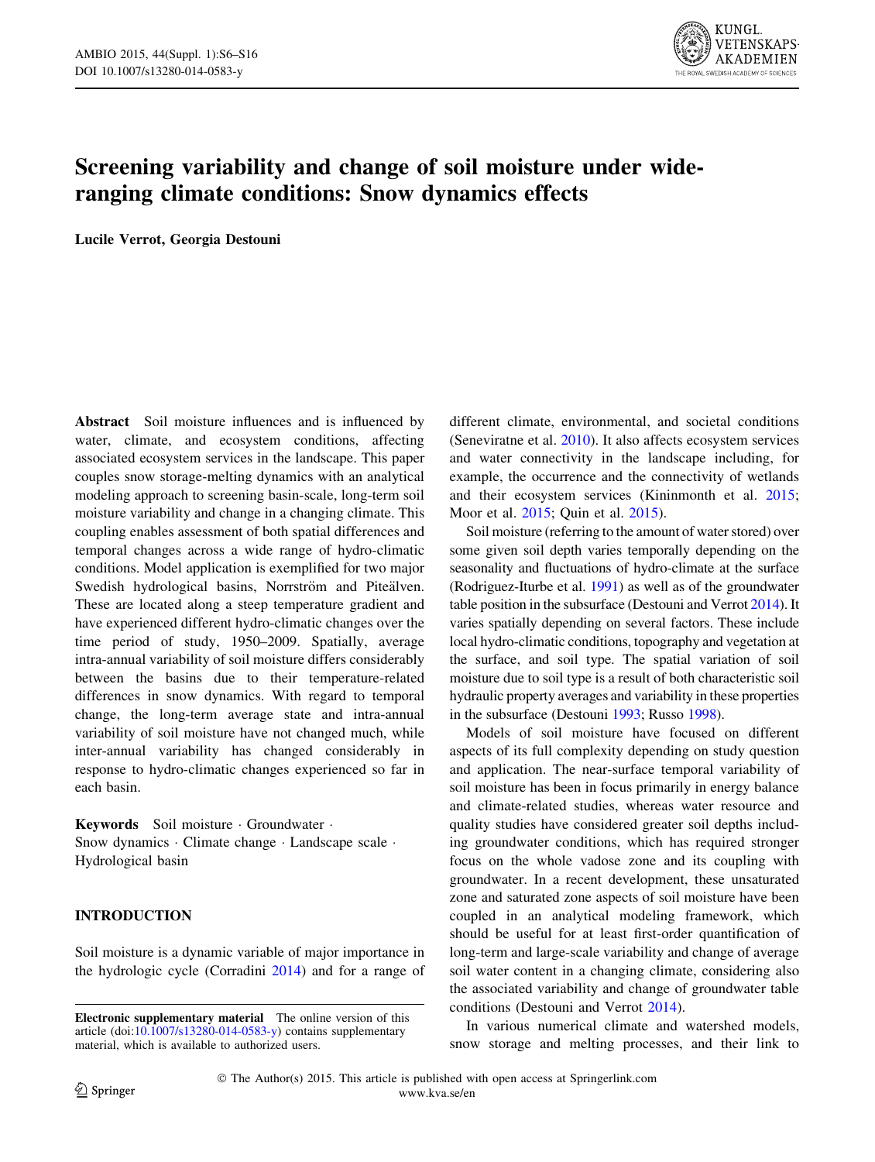

# Screening variability and change of soil moisture under wideranging climate conditions: Snow dynamics effects

Lucile Verrot, Georgia Destouni

Abstract Soil moisture influences and is influenced by water, climate, and ecosystem conditions, affecting associated ecosystem services in the landscape. This paper couples snow storage-melting dynamics with an analytical modeling approach to screening basin-scale, long-term soil moisture variability and change in a changing climate. This coupling enables assessment of both spatial differences and temporal changes across a wide range of hydro-climatic conditions. Model application is exemplified for two major Swedish hydrological basins, Norrström and Piteälven. These are located along a steep temperature gradient and have experienced different hydro-climatic changes over the time period of study, 1950–2009. Spatially, average intra-annual variability of soil moisture differs considerably between the basins due to their temperature-related differences in snow dynamics. With regard to temporal change, the long-term average state and intra-annual variability of soil moisture have not changed much, while inter-annual variability has changed considerably in response to hydro-climatic changes experienced so far in each basin.

Keywords Soil moisture · Groundwater · Snow dynamics · Climate change · Landscape scale · Hydrological basin

# INTRODUCTION

Soil moisture is a dynamic variable of major importance in the hydrologic cycle (Corradini [2014](#page-9-0)) and for a range of different climate, environmental, and societal conditions (Seneviratne et al. [2010\)](#page-10-0). It also affects ecosystem services and water connectivity in the landscape including, for example, the occurrence and the connectivity of wetlands and their ecosystem services (Kininmonth et al. [2015](#page-9-0); Moor et al. [2015](#page-9-0); Quin et al. [2015](#page-9-0)).

Soil moisture (referring to the amount of water stored) over some given soil depth varies temporally depending on the seasonality and fluctuations of hydro-climate at the surface (Rodriguez-Iturbe et al. [1991](#page-10-0)) as well as of the groundwater table position in the subsurface (Destouni and Verrot [2014\)](#page-9-0). It varies spatially depending on several factors. These include local hydro-climatic conditions, topography and vegetation at the surface, and soil type. The spatial variation of soil moisture due to soil type is a result of both characteristic soil hydraulic property averages and variability in these properties in the subsurface (Destouni [1993](#page-9-0); Russo [1998\)](#page-10-0).

Models of soil moisture have focused on different aspects of its full complexity depending on study question and application. The near-surface temporal variability of soil moisture has been in focus primarily in energy balance and climate-related studies, whereas water resource and quality studies have considered greater soil depths including groundwater conditions, which has required stronger focus on the whole vadose zone and its coupling with groundwater. In a recent development, these unsaturated zone and saturated zone aspects of soil moisture have been coupled in an analytical modeling framework, which should be useful for at least first-order quantification of long-term and large-scale variability and change of average soil water content in a changing climate, considering also the associated variability and change of groundwater table conditions (Destouni and Verrot [2014](#page-9-0)).

In various numerical climate and watershed models, snow storage and melting processes, and their link to

Electronic supplementary material The online version of this article (doi:[10.1007/s13280-014-0583-y\)](http://dx.doi.org/10.1007/s13280-014-0583-y) contains supplementary material, which is available to authorized users.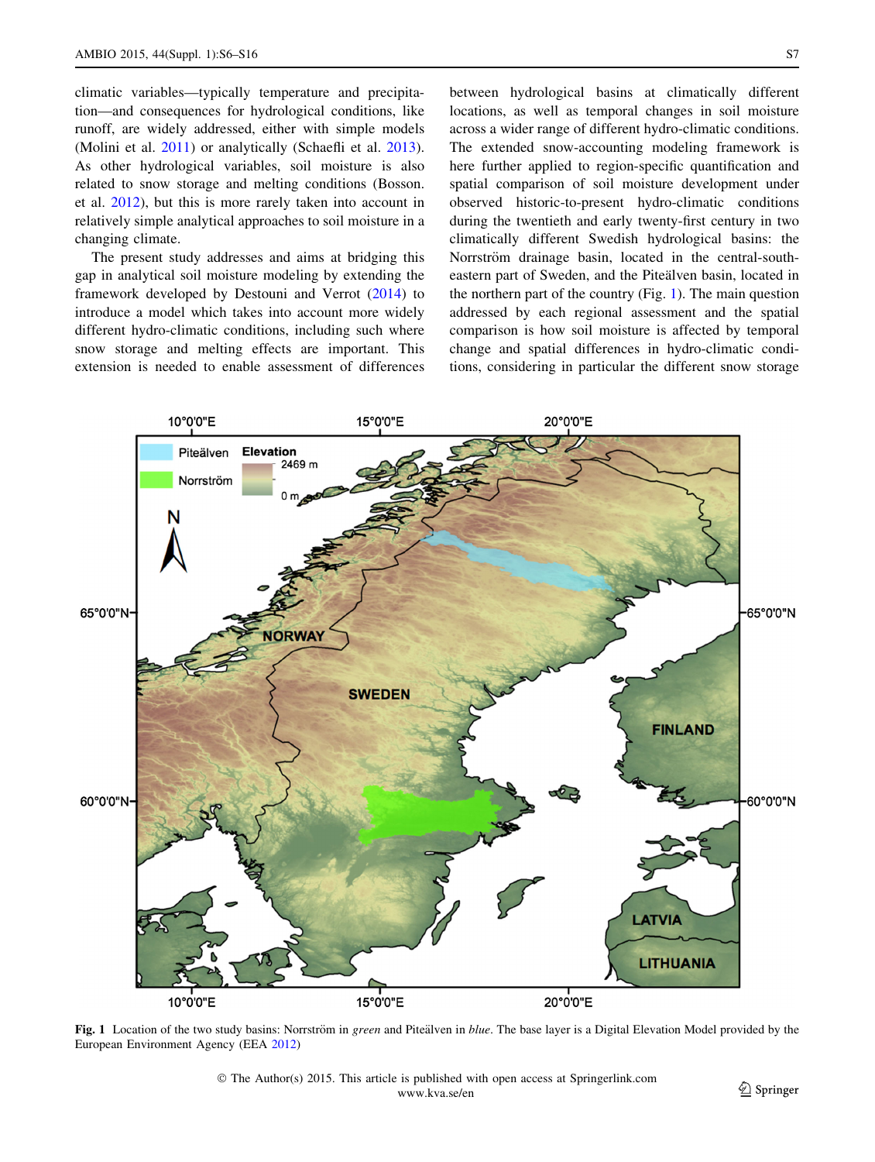<span id="page-1-0"></span>climatic variables—typically temperature and precipitation—and consequences for hydrological conditions, like runoff, are widely addressed, either with simple models (Molini et al. [2011\)](#page-9-0) or analytically (Schaefli et al. [2013](#page-10-0)). As other hydrological variables, soil moisture is also related to snow storage and melting conditions (Bosson. et al. [2012\)](#page-9-0), but this is more rarely taken into account in relatively simple analytical approaches to soil moisture in a changing climate.

The present study addresses and aims at bridging this gap in analytical soil moisture modeling by extending the framework developed by Destouni and Verrot [\(2014](#page-9-0)) to introduce a model which takes into account more widely different hydro-climatic conditions, including such where snow storage and melting effects are important. This extension is needed to enable assessment of differences between hydrological basins at climatically different locations, as well as temporal changes in soil moisture across a wider range of different hydro-climatic conditions. The extended snow-accounting modeling framework is here further applied to region-specific quantification and spatial comparison of soil moisture development under observed historic-to-present hydro-climatic conditions during the twentieth and early twenty-first century in two climatically different Swedish hydrological basins: the Norrström drainage basin, located in the central-southeastern part of Sweden, and the Piteälven basin, located in the northern part of the country (Fig. 1). The main question addressed by each regional assessment and the spatial comparison is how soil moisture is affected by temporal change and spatial differences in hydro-climatic conditions, considering in particular the different snow storage



Fig. 1 Location of the two study basins: Norrström in green and Piteälven in blue. The base layer is a Digital Elevation Model provided by the European Environment Agency (EEA [2012\)](#page-9-0)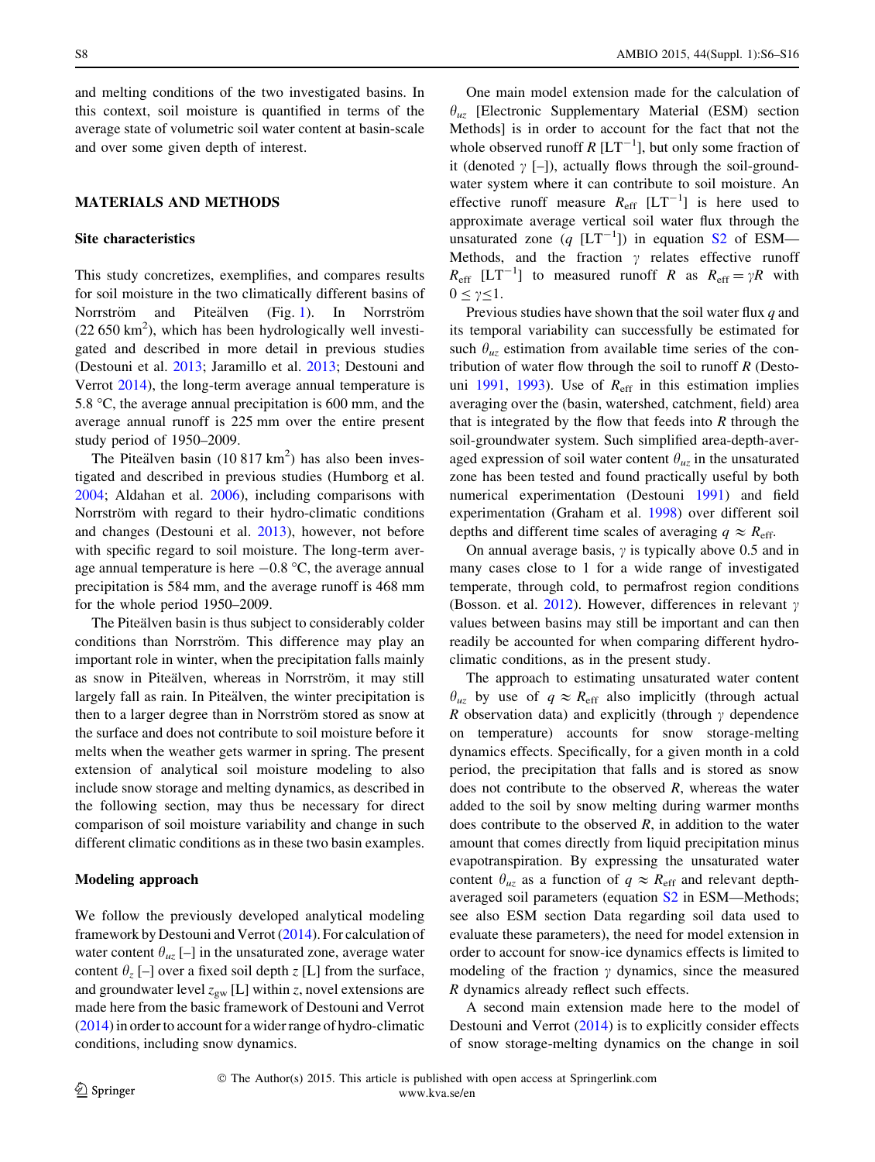and melting conditions of the two investigated basins. In this context, soil moisture is quantified in terms of the average state of volumetric soil water content at basin-scale and over some given depth of interest.

## MATERIALS AND METHODS

#### Site characteristics

This study concretizes, exemplifies, and compares results for soil moisture in the two climatically different basins of Norrström and Piteälven (Fig. [1](#page-1-0)). In Norrström  $(22 650 \text{ km}^2)$ , which has been hydrologically well investigated and described in more detail in previous studies (Destouni et al. [2013;](#page-9-0) Jaramillo et al. [2013;](#page-9-0) Destouni and Verrot [2014](#page-9-0)), the long-term average annual temperature is 5.8  $\degree$ C, the average annual precipitation is 600 mm, and the average annual runoff is 225 mm over the entire present study period of 1950–2009.

The Piteälven basin  $(10817 \text{ km}^2)$  has also been investigated and described in previous studies (Humborg et al. [2004;](#page-9-0) Aldahan et al. [2006](#page-9-0)), including comparisons with Norrström with regard to their hydro-climatic conditions and changes (Destouni et al. [2013](#page-9-0)), however, not before with specific regard to soil moisture. The long-term average annual temperature is here  $-0.8$  °C, the average annual precipitation is 584 mm, and the average runoff is 468 mm for the whole period 1950–2009.

The Piteälven basin is thus subject to considerably colder conditions than Norrström. This difference may play an important role in winter, when the precipitation falls mainly as snow in Piteälven, whereas in Norrström, it may still largely fall as rain. In Piteälven, the winter precipitation is then to a larger degree than in Norrström stored as snow at the surface and does not contribute to soil moisture before it melts when the weather gets warmer in spring. The present extension of analytical soil moisture modeling to also include snow storage and melting dynamics, as described in the following section, may thus be necessary for direct comparison of soil moisture variability and change in such different climatic conditions as in these two basin examples.

## Modeling approach

We follow the previously developed analytical modeling framework by Destouni and Verrot ([2014](#page-9-0)). For calculation of water content  $\theta_{uz}$  [–] in the unsaturated zone, average water content  $\theta_z$  [–] over a fixed soil depth z [L] from the surface, and groundwater level  $z_{gw}$  [L] within z, novel extensions are made here from the basic framework of Destouni and Verrot [\(2014](#page-9-0)) in order to account for a wider range of hydro-climatic conditions, including snow dynamics.

One main model extension made for the calculation of  $\theta_{uz}$  [Electronic Supplementary Material (ESM) section Methods] is in order to account for the fact that not the whole observed runoff  $R$  [ $LT^{-1}$ ], but only some fraction of it (denoted  $\gamma$  [–]), actually flows through the soil-groundwater system where it can contribute to soil moisture. An effective runoff measure  $R_{\text{eff}}$  [LT<sup>-1</sup>] is here used to approximate average vertical soil water flux through the unsaturated zone  $(q$  [LT<sup>-1</sup>]) in equation S<sub>2</sub> of ESM-Methods, and the fraction  $\gamma$  relates effective runoff  $R_{\text{eff}}$  [LT<sup>-1</sup>] to measured runoff R as  $R_{\text{eff}} = \gamma R$  with  $0 \leq \gamma \leq 1$ .

Previous studies have shown that the soil water flux  $q$  and its temporal variability can successfully be estimated for such  $\theta_{uz}$  estimation from available time series of the contribution of water flow through the soil to runoff  $R$  (Desto-uni [1991,](#page-9-0) [1993](#page-9-0)). Use of  $R_{\text{eff}}$  in this estimation implies averaging over the (basin, watershed, catchment, field) area that is integrated by the flow that feeds into  $R$  through the soil-groundwater system. Such simplified area-depth-averaged expression of soil water content  $\theta_{uz}$  in the unsaturated zone has been tested and found practically useful by both numerical experimentation (Destouni [1991\)](#page-9-0) and field experimentation (Graham et al. [1998](#page-9-0)) over different soil depths and different time scales of averaging  $q \approx R_{\text{eff}}$ .

On annual average basis,  $\gamma$  is typically above 0.5 and in many cases close to 1 for a wide range of investigated temperate, through cold, to permafrost region conditions (Bosson. et al. [2012](#page-9-0)). However, differences in relevant  $\gamma$ values between basins may still be important and can then readily be accounted for when comparing different hydroclimatic conditions, as in the present study.

The approach to estimating unsaturated water content  $\theta_{uz}$  by use of  $q \approx R_{\text{eff}}$  also implicitly (through actual R observation data) and explicitly (through  $\gamma$  dependence on temperature) accounts for snow storage-melting dynamics effects. Specifically, for a given month in a cold period, the precipitation that falls and is stored as snow does not contribute to the observed  $R$ , whereas the water added to the soil by snow melting during warmer months does contribute to the observed  $R$ , in addition to the water amount that comes directly from liquid precipitation minus evapotranspiration. By expressing the unsaturated water content  $\theta_{uz}$  as a function of  $q \approx R_{\text{eff}}$  and relevant depthaveraged soil parameters (equation [S2](http://dx.doi.org/10.1007/s13280-014-0583-y) in ESM—Methods; see also ESM section Data regarding soil data used to evaluate these parameters), the need for model extension in order to account for snow-ice dynamics effects is limited to modeling of the fraction  $\gamma$  dynamics, since the measured R dynamics already reflect such effects.

A second main extension made here to the model of Destouni and Verrot [\(2014](#page-9-0)) is to explicitly consider effects of snow storage-melting dynamics on the change in soil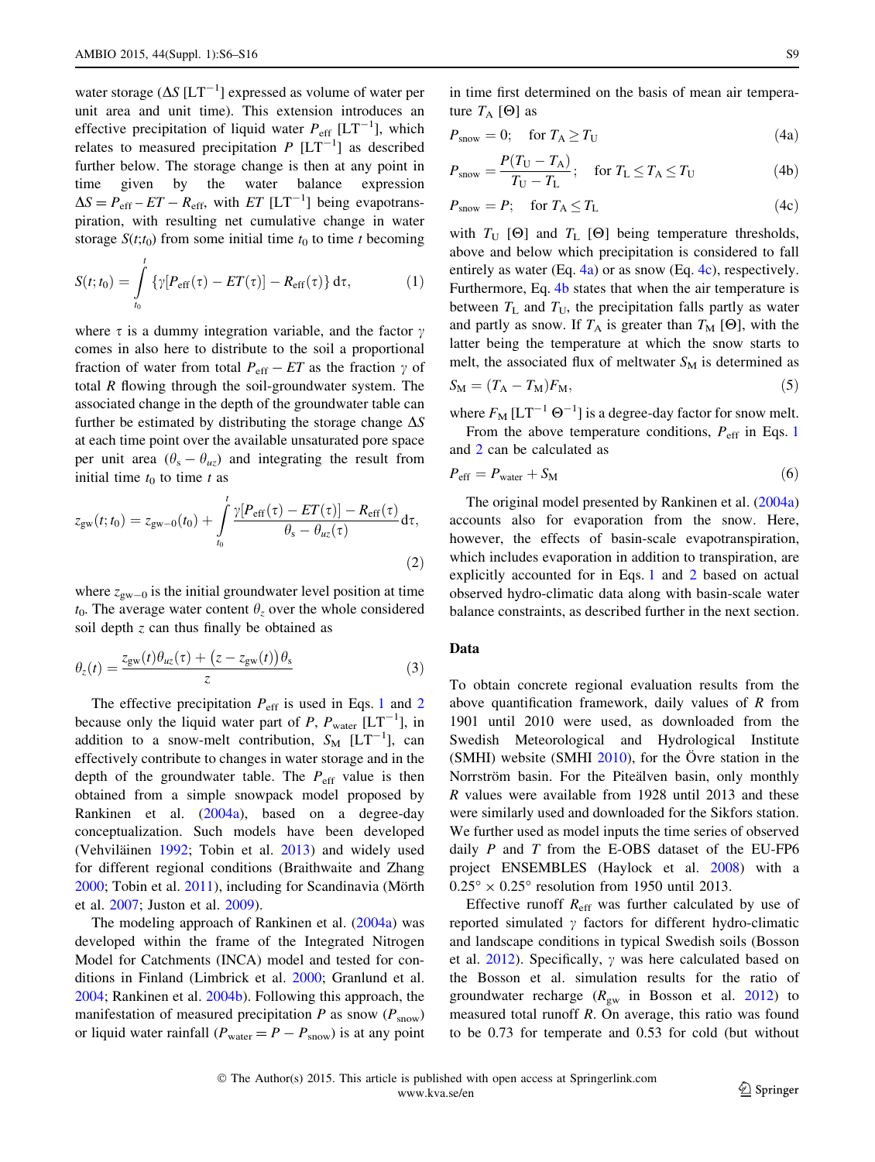<span id="page-3-0"></span>water storage ( $\Delta S$  [LT<sup>-1</sup>] expressed as volume of water per unit area and unit time). This extension introduces an effective precipitation of liquid water  $P_{\text{eff}}$  [LT<sup>-1</sup>], which relates to measured precipitation  $P [LT^{-1}]$  as described further below. The storage change is then at any point in time given by the water balance expression  $\Delta S = P_{\text{eff}} - ET - R_{\text{eff}}$ , with  $ET$  [LT<sup>-1</sup>] being evapotranspiration, with resulting net cumulative change in water storage  $S(t;t_0)$  from some initial time  $t_0$  to time t becoming

$$
S(t;t_0) = \int_{t_0}^t \left\{ \gamma [P_{\rm eff}(\tau) - ET(\tau)] - R_{\rm eff}(\tau) \right\} d\tau, \tag{1}
$$

where  $\tau$  is a dummy integration variable, and the factor  $\gamma$ comes in also here to distribute to the soil a proportional fraction of water from total  $P_{\text{eff}} - ET$  as the fraction  $\gamma$  of total  $R$  flowing through the soil-groundwater system. The associated change in the depth of the groundwater table can further be estimated by distributing the storage change  $\Delta S$ at each time point over the available unsaturated pore space per unit area  $(\theta_s - \theta_{uz})$  and integrating the result from initial time  $t_0$  to time t as

$$
z_{\rm gw}(t;t_0) = z_{\rm gw-0}(t_0) + \int_{t_0}^t \frac{\gamma [P_{\rm eff}(\tau) - ET(\tau)] - R_{\rm eff}(\tau)}{\theta_{\rm s} - \theta_{\rm uz}(\tau)} d\tau,
$$
\n(2)

where  $z_{\text{gw}=0}$  is the initial groundwater level position at time  $t_0$ . The average water content  $\theta_z$  over the whole considered soil depth z can thus finally be obtained as

$$
\theta_z(t) = \frac{z_{\text{gw}}(t)\theta_{uz}(\tau) + (z - z_{\text{gw}}(t))\theta_{\text{s}}}{z}
$$
(3)

The effective precipitation  $P_{\text{eff}}$  is used in Eqs. 1 and 2 because only the liquid water part of P,  $P_{\text{water}}$  [LT<sup>-1</sup>], in addition to a snow-melt contribution,  $S_M$  [LT<sup>-1</sup>], can effectively contribute to changes in water storage and in the depth of the groundwater table. The  $P_{\text{eff}}$  value is then obtained from a simple snowpack model proposed by Rankinen et al. ([2004a](#page-9-0)), based on a degree-day conceptualization. Such models have been developed (Vehviläinen [1992](#page-10-0); Tobin et al. [2013](#page-10-0)) and widely used for different regional conditions (Braithwaite and Zhang  $2000$ ; Tobin et al.  $2011$ ), including for Scandinavia (Mörth et al. [2007;](#page-9-0) Juston et al. [2009](#page-9-0)).

The modeling approach of Rankinen et al. ([2004a](#page-9-0)) was developed within the frame of the Integrated Nitrogen Model for Catchments (INCA) model and tested for conditions in Finland (Limbrick et al. [2000](#page-9-0); Granlund et al. [2004;](#page-9-0) Rankinen et al. [2004b](#page-10-0)). Following this approach, the manifestation of measured precipitation  $P$  as snow  $(P_{\text{snow}})$ or liquid water rainfall ( $P_{\text{water}} = P - P_{\text{snow}}$ ) is at any point

in time first determined on the basis of mean air temperature  $T_A$  [ $\Theta$ ] as

$$
P_{\text{snow}} = 0; \quad \text{for } T_{\text{A}} \ge T_{\text{U}} \tag{4a}
$$

$$
P_{\text{snow}} = \frac{P(T_U - T_A)}{T_U - T_L}; \quad \text{for } T_L \le T_A \le T_U \tag{4b}
$$

$$
P_{\text{snow}} = P; \quad \text{for } T_{\text{A}} \le T_{\text{L}} \tag{4c}
$$

with  $T_U$  [ $\Theta$ ] and  $T_L$  [ $\Theta$ ] being temperature thresholds, above and below which precipitation is considered to fall entirely as water (Eq.  $4a$ ) or as snow (Eq.  $4c$ ), respectively. Furthermore, Eq. 4b states that when the air temperature is between  $T_{\text{L}}$  and  $T_{\text{U}}$ , the precipitation falls partly as water and partly as snow. If  $T_A$  is greater than  $T_M$  [ $\Theta$ ], with the latter being the temperature at which the snow starts to melt, the associated flux of meltwater  $S_M$  is determined as

$$
S_{\rm M} = (T_{\rm A} - T_{\rm M}) F_{\rm M},\tag{5}
$$

where  $F_M [LT^{-1} \Theta^{-1}]$  is a degree-day factor for snow melt. From the above temperature conditions,  $P_{\text{eff}}$  in Eqs. 1

and 2 can be calculated as

$$
P_{\rm eff} = P_{\rm water} + S_{\rm M} \tag{6}
$$

The original model presented by Rankinen et al. [\(2004a\)](#page-9-0) accounts also for evaporation from the snow. Here, however, the effects of basin-scale evapotranspiration, which includes evaporation in addition to transpiration, are explicitly accounted for in Eqs. 1 and 2 based on actual observed hydro-climatic data along with basin-scale water balance constraints, as described further in the next section.

#### Data

To obtain concrete regional evaluation results from the above quantification framework, daily values of  *from* 1901 until 2010 were used, as downloaded from the Swedish Meteorological and Hydrological Institute (SMHI) website (SMHI  $2010$ ), for the Övre station in the Norrström basin. For the Piteälven basin, only monthly R values were available from 1928 until 2013 and these were similarly used and downloaded for the Sikfors station. We further used as model inputs the time series of observed daily  $P$  and  $T$  from the E-OBS dataset of the EU-FP6 project ENSEMBLES (Haylock et al. [2008\)](#page-9-0) with a  $0.25^{\circ} \times 0.25^{\circ}$  resolution from 1950 until 2013.

Effective runoff  $R_{\text{eff}}$  was further calculated by use of reported simulated  $\gamma$  factors for different hydro-climatic and landscape conditions in typical Swedish soils (Bosson et al. [2012\)](#page-9-0). Specifically,  $\gamma$  was here calculated based on the Bosson et al. simulation results for the ratio of groundwater recharge  $(R_{\rm gw}$  in Bosson et al. [2012\)](#page-9-0) to measured total runoff R. On average, this ratio was found to be 0.73 for temperate and 0.53 for cold (but without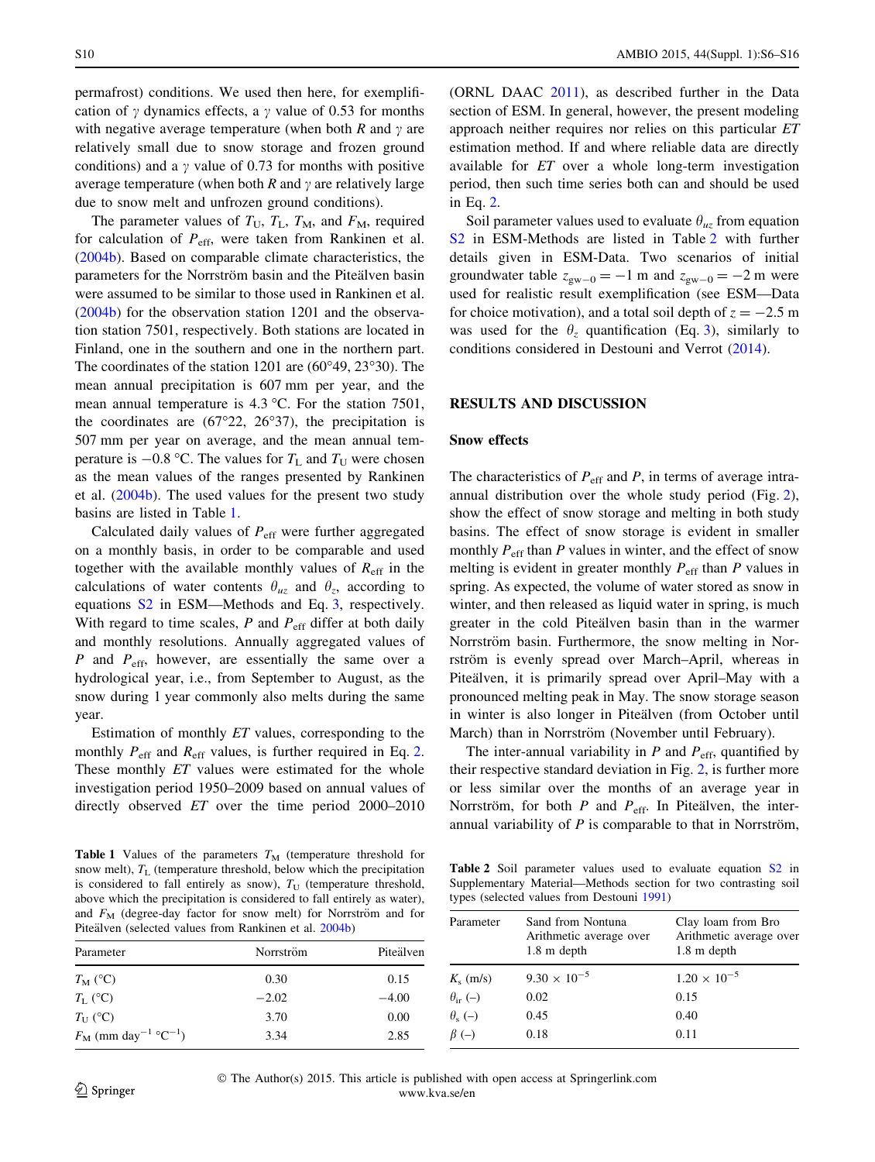permafrost) conditions. We used then here, for exemplification of  $\gamma$  dynamics effects, a  $\gamma$  value of 0.53 for months with negative average temperature (when both  $R$  and  $\gamma$  are relatively small due to snow storage and frozen ground conditions) and a  $\gamma$  value of 0.73 for months with positive average temperature (when both R and  $\gamma$  are relatively large due to snow melt and unfrozen ground conditions).

The parameter values of  $T_U$ ,  $T_L$ ,  $T_M$ , and  $F_M$ , required for calculation of  $P_{\text{eff}}$ , were taken from Rankinen et al. [\(2004b](#page-10-0)). Based on comparable climate characteristics, the parameters for the Norrström basin and the Piteälven basin were assumed to be similar to those used in Rankinen et al. [\(2004b](#page-10-0)) for the observation station 1201 and the observation station 7501, respectively. Both stations are located in Finland, one in the southern and one in the northern part. The coordinates of the station 1201 are  $(60°49, 23°30)$ . The mean annual precipitation is 607 mm per year, and the mean annual temperature is  $4.3 \text{ °C}$ . For the station 7501, the coordinates are  $(67°22, 26°37)$ , the precipitation is 507 mm per year on average, and the mean annual temperature is  $-0.8$  °C. The values for  $T_L$  and  $T_U$  were chosen as the mean values of the ranges presented by Rankinen et al. [\(2004b\)](#page-10-0). The used values for the present two study basins are listed in Table 1.

Calculated daily values of  $P_{\text{eff}}$  were further aggregated on a monthly basis, in order to be comparable and used together with the available monthly values of  $R_{\text{eff}}$  in the calculations of water contents  $\theta_{u\tau}$  and  $\theta_{\tau}$ , according to equations [S2](http://dx.doi.org/10.1007/s13280-014-0583-y) in ESM—Methods and Eq. [3](#page-3-0), respectively. With regard to time scales,  $P$  and  $P_{\text{eff}}$  differ at both daily and monthly resolutions. Annually aggregated values of P and  $P_{\text{eff}}$ , however, are essentially the same over a hydrological year, i.e., from September to August, as the snow during 1 year commonly also melts during the same year.

Estimation of monthly ET values, corresponding to the monthly  $P_{\text{eff}}$  and  $R_{\text{eff}}$  values, is further required in Eq. [2.](#page-3-0) These monthly *ET* values were estimated for the whole investigation period 1950–2009 based on annual values of directly observed ET over the time period 2000–2010

Table 1 Values of the parameters  $T_M$  (temperature threshold for snow melt),  $T_L$  (temperature threshold, below which the precipitation is considered to fall entirely as snow),  $T_{\text{U}}$  (temperature threshold, above which the precipitation is considered to fall entirely as water), and  $F_M$  (degree-day factor for snow melt) for Norrström and for

(ORNL DAAC [2011\)](#page-9-0), as described further in the Data section of ESM. In general, however, the present modeling approach neither requires nor relies on this particular ET estimation method. If and where reliable data are directly available for ET over a whole long-term investigation period, then such time series both can and should be used in Eq. [2](#page-3-0).

Soil parameter values used to evaluate  $\theta_{uz}$  from equation [S2](http://dx.doi.org/10.1007/s13280-014-0583-y) in ESM-Methods are listed in Table 2 with further details given in ESM-Data. Two scenarios of initial groundwater table  $z_{\text{gw}-0} = -1$  m and  $z_{\text{gw}-0} = -2$  m were used for realistic result exemplification (see ESM—Data for choice motivation), and a total soil depth of  $z = -2.5$  m was used for the  $\theta$ <sub>z</sub> quantification (Eq. [3](#page-3-0)), similarly to conditions considered in Destouni and Verrot ([2014\)](#page-9-0).

## RESULTS AND DISCUSSION

#### Snow effects

The characteristics of  $P_{\text{eff}}$  and P, in terms of average intraannual distribution over the whole study period (Fig. [2](#page-5-0)), show the effect of snow storage and melting in both study basins. The effect of snow storage is evident in smaller monthly  $P_{\text{eff}}$  than P values in winter, and the effect of snow melting is evident in greater monthly  $P_{\text{eff}}$  than P values in spring. As expected, the volume of water stored as snow in winter, and then released as liquid water in spring, is much greater in the cold Piteälven basin than in the warmer Norrström basin. Furthermore, the snow melting in Norrström is evenly spread over March–April, whereas in Piteälven, it is primarily spread over April–May with a pronounced melting peak in May. The snow storage season in winter is also longer in Pitealven (from October until March) than in Norrström (November until February).

The inter-annual variability in  $P$  and  $P_{\text{eff}}$ , quantified by their respective standard deviation in Fig. [2,](#page-5-0) is further more or less similar over the months of an average year in Norrström, for both  $P$  and  $P_{\text{eff}}$ . In Piteälven, the interannual variability of  $P$  is comparable to that in Norrström,

Table 2 Soil parameter values used to evaluate equation [S2](http://dx.doi.org/10.1007/s13280-014-0583-y) in Supplementary Material—Methods section for two contrasting soil types (selected values from Destouni [1991](#page-9-0))

| $\frac{1}{2}$ and $\frac{1}{2}$ (see the case of $\frac{1}{2}$ and $\frac{1}{2}$ are $\frac{1}{2}$ and $\frac{1}{2}$ and $\frac{1}{2}$ and $\frac{1}{2}$<br>Piteälven (selected values from Rankinen et al. 2004b) |           |           | Parameter            | Sand from Nontuna<br>Arithmetic average over | Clay loam from Bro<br>Arithmetic average over |
|--------------------------------------------------------------------------------------------------------------------------------------------------------------------------------------------------------------------|-----------|-----------|----------------------|----------------------------------------------|-----------------------------------------------|
| Parameter                                                                                                                                                                                                          | Norrström | Piteälven |                      | $1.8 \text{ m depth}$                        | $1.8 \text{ m depth}$                         |
| $T_{\rm M}$ (°C)                                                                                                                                                                                                   | 0.30      | 0.15      | $K_s$ (m/s)          | $9.30 \times 10^{-5}$                        | $1.20 \times 10^{-5}$                         |
| $T_{\rm L}$ (°C)                                                                                                                                                                                                   | $-2.02$   | $-4.00$   | $\theta_{ir}$ (-)    | 0.02                                         | 0.15                                          |
| $T_{\rm U}$ (°C)                                                                                                                                                                                                   | 3.70      | 0.00      | $\theta_{\rm s}$ (-) | 0.45                                         | 0.40                                          |
| $F_{\rm M}$ (mm day <sup>-1</sup> °C <sup>-1</sup> )                                                                                                                                                               | 3.34      | 2.85      | $\beta$ (-)          | 0.18                                         | 0.11                                          |

 The Author(s) 2015. This article is published with open access at Springerlink.com www.kva.se/en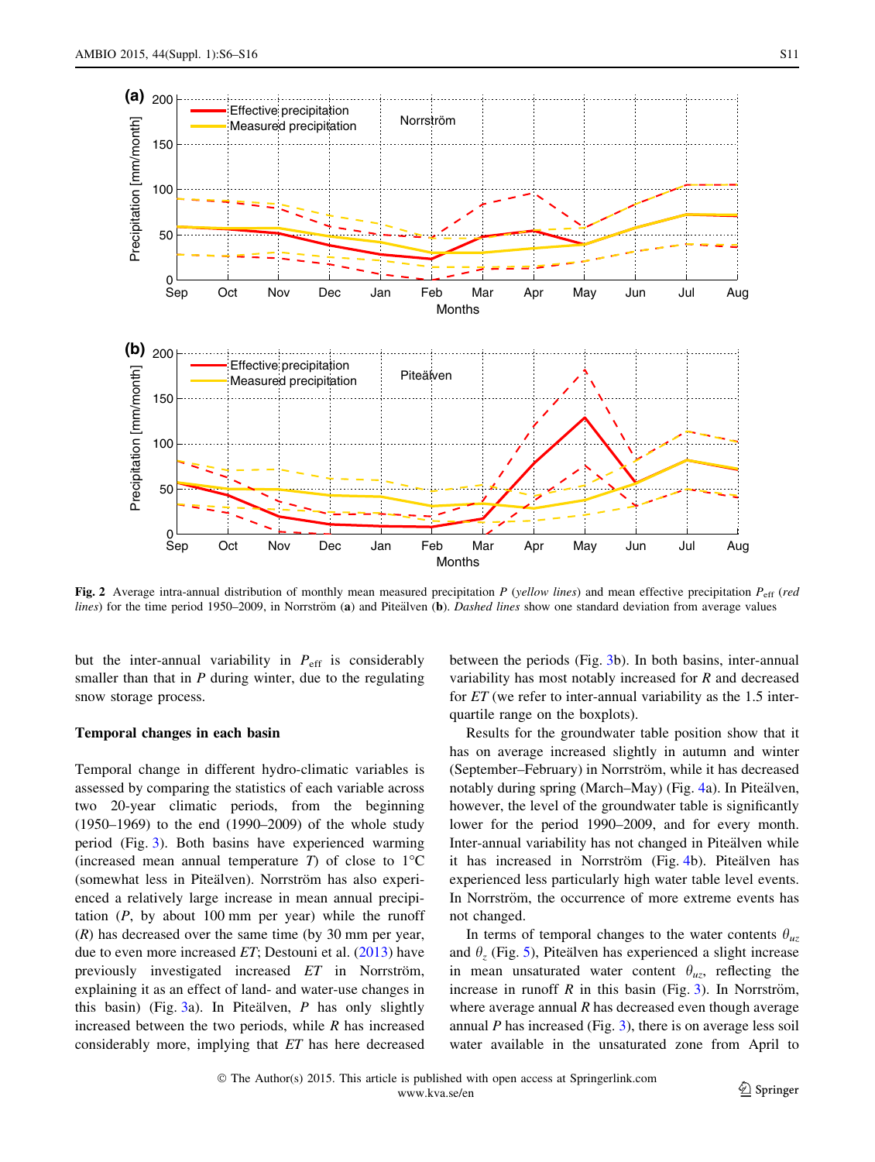<span id="page-5-0"></span>

Fig. 2 Average intra-annual distribution of monthly mean measured precipitation P (yellow lines) and mean effective precipitation  $P_{\text{eff}}$  (red lines) for the time period 1950–2009, in Norrström (a) and Piteälven (b). Dashed lines show one standard deviation from average values

but the inter-annual variability in  $P_{\text{eff}}$  is considerably smaller than that in  $P$  during winter, due to the regulating snow storage process.

# Temporal changes in each basin

Temporal change in different hydro-climatic variables is assessed by comparing the statistics of each variable across two 20-year climatic periods, from the beginning (1950–1969) to the end (1990–2009) of the whole study period (Fig. [3\)](#page-6-0). Both basins have experienced warming (increased mean annual temperature  $T$ ) of close to 1<sup>o</sup>C (somewhat less in Piteälven). Norrström has also experienced a relatively large increase in mean annual precipitation  $(P, by about 100 mm per year)$  while the runoff  $(R)$  has decreased over the same time (by 30 mm per year, due to even more increased  $ET$ ; Destouni et al.  $(2013)$  $(2013)$  have previously investigated increased  $ET$  in Norrström, explaining it as an effect of land- and water-use changes in this basin) (Fig. [3](#page-6-0)a). In Piteälven,  $P$  has only slightly increased between the two periods, while  $R$  has increased considerably more, implying that ET has here decreased

between the periods (Fig. [3b](#page-6-0)). In both basins, inter-annual variability has most notably increased for R and decreased for ET (we refer to inter-annual variability as the 1.5 interquartile range on the boxplots).

Results for the groundwater table position show that it has on average increased slightly in autumn and winter (September–February) in Norrström, while it has decreased notably during spring (March–May) (Fig. [4a](#page-7-0)). In Piteälven, however, the level of the groundwater table is significantly lower for the period 1990–2009, and for every month. Inter-annual variability has not changed in Piteälven while it has increased in Norrström (Fig. [4](#page-7-0)b). Piteälven has experienced less particularly high water table level events. In Norrström, the occurrence of more extreme events has not changed.

In terms of temporal changes to the water contents  $\theta_{uz}$ and  $\theta_z$  (Fig. [5](#page-8-0)), Pitealven has experienced a slight increase in mean unsaturated water content  $\theta_{uz}$ , reflecting the increase in runoff R in this basin (Fig. [3\)](#page-6-0). In Norrström, where average annual  $R$  has decreased even though average annual  $P$  has increased (Fig. [3\)](#page-6-0), there is on average less soil water available in the unsaturated zone from April to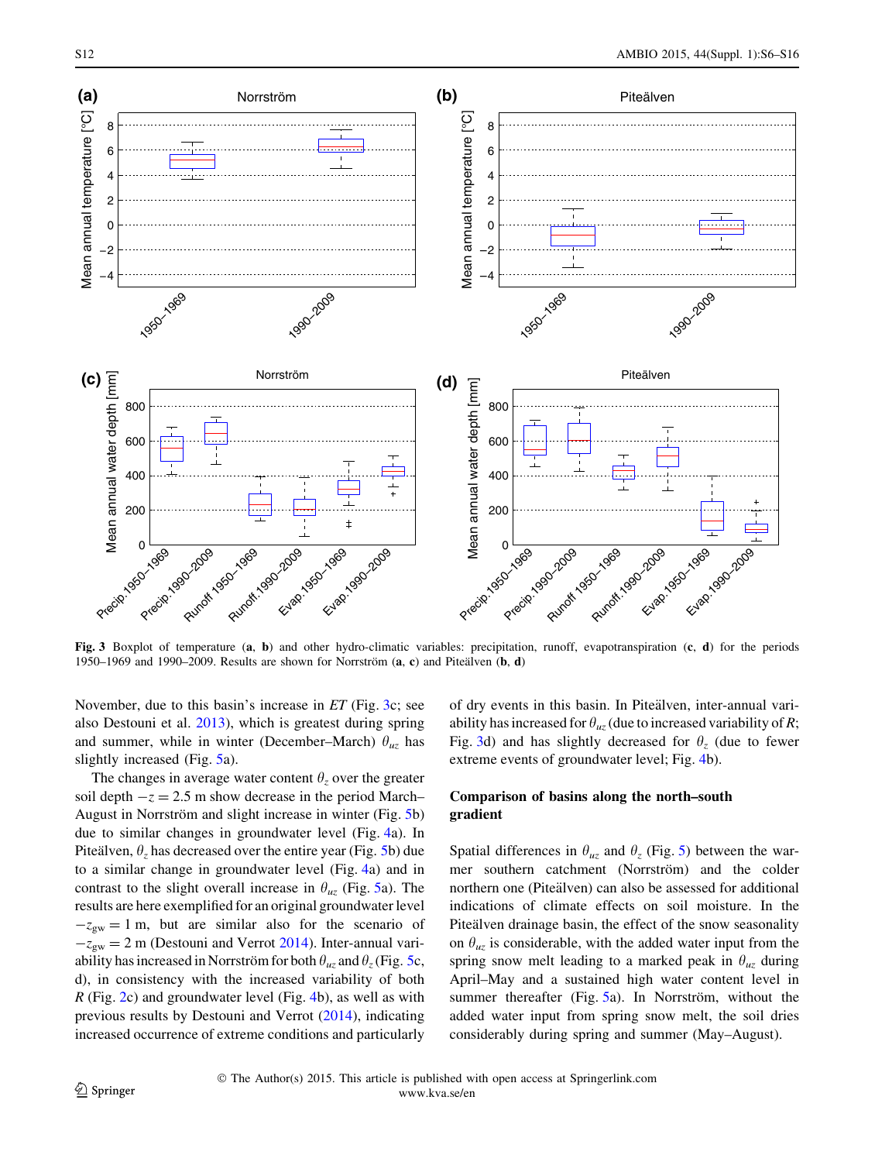<span id="page-6-0"></span>

Fig. 3 Boxplot of temperature (a, b) and other hydro-climatic variables: precipitation, runoff, evapotranspiration (c, d) for the periods 1950–1969 and 1990–2009. Results are shown for Norrström  $(a, c)$  and Piteälven  $(b, d)$ 

November, due to this basin's increase in ET (Fig. 3c; see also Destouni et al. [2013](#page-9-0)), which is greatest during spring and summer, while in winter (December–March)  $\theta_{uz}$  has slightly increased (Fig. [5](#page-8-0)a).

The changes in average water content  $\theta_z$  over the greater soil depth  $-z = 2.5$  m show decrease in the period March– August in Norrström and slight increase in winter (Fig. [5b](#page-8-0)) due to similar changes in groundwater level (Fig. [4](#page-7-0)a). In Pitealven,  $\theta_z$  has decreased over the entire year (Fig. [5](#page-8-0)b) due to a similar change in groundwater level (Fig. [4](#page-7-0)a) and in contrast to the slight overall increase in  $\theta_{uz}$  (Fig. [5a](#page-8-0)). The results are here exemplified for an original groundwater level  $-z_{\text{gw}} = 1$  m, but are similar also for the scenario of  $-z_{gw} = 2$  m (Destouni and Verrot [2014](#page-9-0)). Inter-annual variability has increased in Norrström for both  $\theta_{uz}$  and  $\theta_z$  (Fig. [5](#page-8-0)c, d), in consistency with the increased variability of both R (Fig. [2](#page-5-0)c) and groundwater level (Fig. [4](#page-7-0)b), as well as with previous results by Destouni and Verrot [\(2014](#page-9-0)), indicating increased occurrence of extreme conditions and particularly

of dry events in this basin. In Piteälven, inter-annual variability has increased for  $\theta_{uz}$  (due to increased variability of R; Fig. 3d) and has slightly decreased for  $\theta_z$  (due to fewer extreme events of groundwater level; Fig. [4b](#page-7-0)).

# Comparison of basins along the north–south gradient

Spatial differences in  $\theta_{uz}$  and  $\theta_z$  (Fig. [5\)](#page-8-0) between the warmer southern catchment (Norrström) and the colder northern one (Piteälven) can also be assessed for additional indications of climate effects on soil moisture. In the Piteälven drainage basin, the effect of the snow seasonality on  $\theta_{uz}$  is considerable, with the added water input from the spring snow melt leading to a marked peak in  $\theta_{uz}$  during April–May and a sustained high water content level in summer thereafter (Fig.  $5a$  $5a$ ). In Norrström, without the added water input from spring snow melt, the soil dries considerably during spring and summer (May–August).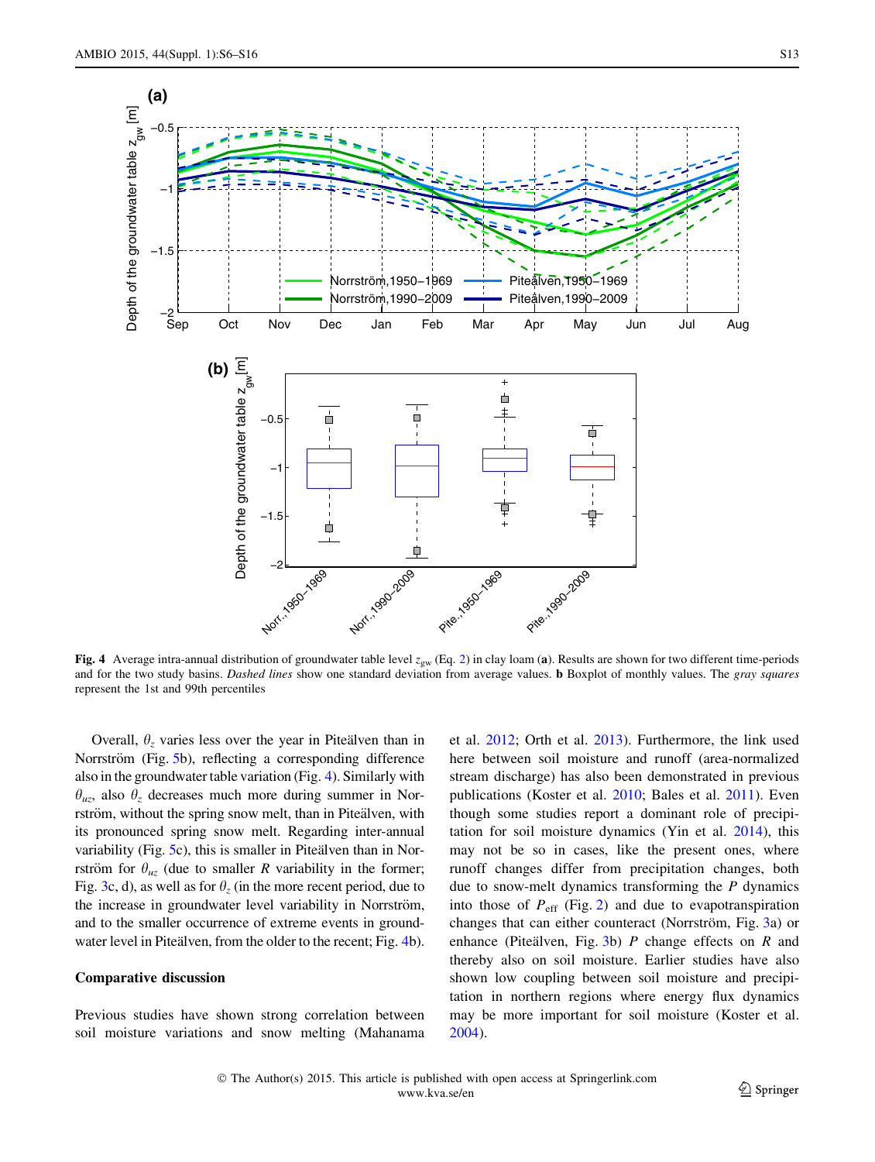<span id="page-7-0"></span>

Fig. 4 Average intra-annual distribution of groundwater table level  $z_{gw}$  (Eq. [2](#page-3-0)) in clay loam (a). Results are shown for two different time-periods and for the two study basins. Dashed lines show one standard deviation from average values. **b** Boxplot of monthly values. The gray squares represent the 1st and 99th percentiles

Overall,  $\theta$ <sub>z</sub> varies less over the year in Pitealven than in Norrström (Fig. [5b](#page-8-0)), reflecting a corresponding difference also in the groundwater table variation (Fig. 4). Similarly with  $\theta_{uz}$ , also  $\theta_z$  decreases much more during summer in Norrström, without the spring snow melt, than in Piteälven, with its pronounced spring snow melt. Regarding inter-annual variability (Fig.  $5c$  $5c$ ), this is smaller in Pitealven than in Norrström for  $\theta_{uz}$  (due to smaller R variability in the former; Fig. [3c](#page-6-0), d), as well as for  $\theta_z$  (in the more recent period, due to the increase in groundwater level variability in Norrström, and to the smaller occurrence of extreme events in groundwater level in Piteälven, from the older to the recent; Fig. 4b).

#### Comparative discussion

Previous studies have shown strong correlation between soil moisture variations and snow melting (Mahanama

et al. [2012;](#page-9-0) Orth et al. [2013](#page-9-0)). Furthermore, the link used here between soil moisture and runoff (area-normalized stream discharge) has also been demonstrated in previous publications (Koster et al. [2010](#page-9-0); Bales et al. [2011](#page-9-0)). Even though some studies report a dominant role of precipitation for soil moisture dynamics (Yin et al. [2014\)](#page-10-0), this may not be so in cases, like the present ones, where runoff changes differ from precipitation changes, both due to snow-melt dynamics transforming the  $P$  dynamics into those of  $P_{\text{eff}}$  (Fig. [2\)](#page-5-0) and due to evapotranspiration changes that can either counteract (Norrström, Fig. [3a](#page-6-0)) or enhance (Piteälven, Fig. [3](#page-6-0)b)  $P$  change effects on  $R$  and thereby also on soil moisture. Earlier studies have also shown low coupling between soil moisture and precipitation in northern regions where energy flux dynamics may be more important for soil moisture (Koster et al. [2004](#page-9-0)).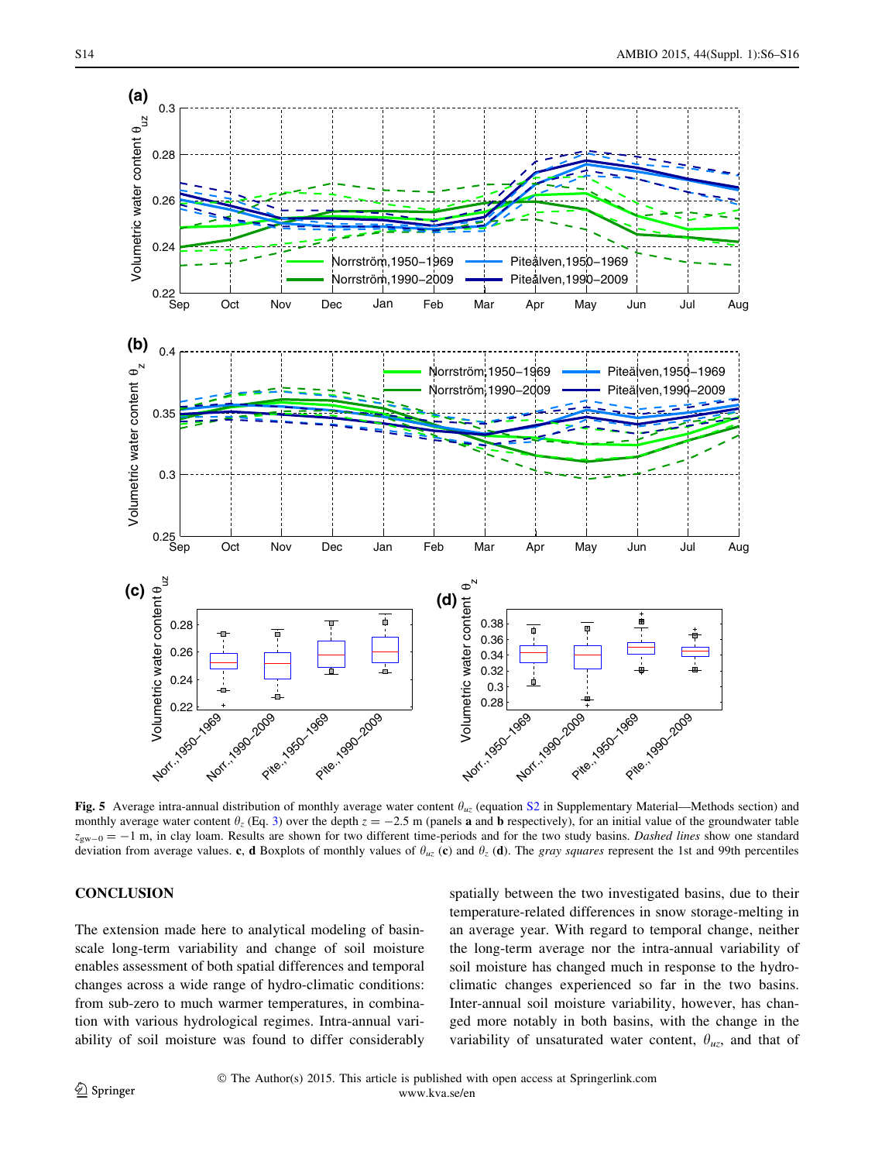<span id="page-8-0"></span>

Fig. 5 Average intra-annual distribution of monthly average water content  $\theta_{uz}$  (equation [S2](http://dx.doi.org/10.1007/s13280-014-0583-y) in Supplementary Material—Methods section) and monthly average water content  $\theta_z$  (Eq. [3\)](#page-3-0) over the depth  $z = -2.5$  m (panels **a** and **b** respectively), for an initial value of the groundwater table  $z_{\text{sw}-0} = -1$  m, in clay loam. Results are shown for two different time-periods and for the two study basins. Dashed lines show one standard deviation from average values. c, d Boxplots of monthly values of  $\theta_{uz}$  (c) and  $\theta_z$  (d). The gray squares represent the 1st and 99th percentiles

# **CONCLUSION**

The extension made here to analytical modeling of basinscale long-term variability and change of soil moisture enables assessment of both spatial differences and temporal changes across a wide range of hydro-climatic conditions: from sub-zero to much warmer temperatures, in combination with various hydrological regimes. Intra-annual variability of soil moisture was found to differ considerably

spatially between the two investigated basins, due to their temperature-related differences in snow storage-melting in an average year. With regard to temporal change, neither the long-term average nor the intra-annual variability of soil moisture has changed much in response to the hydroclimatic changes experienced so far in the two basins. Inter-annual soil moisture variability, however, has changed more notably in both basins, with the change in the variability of unsaturated water content,  $\theta_{uz}$ , and that of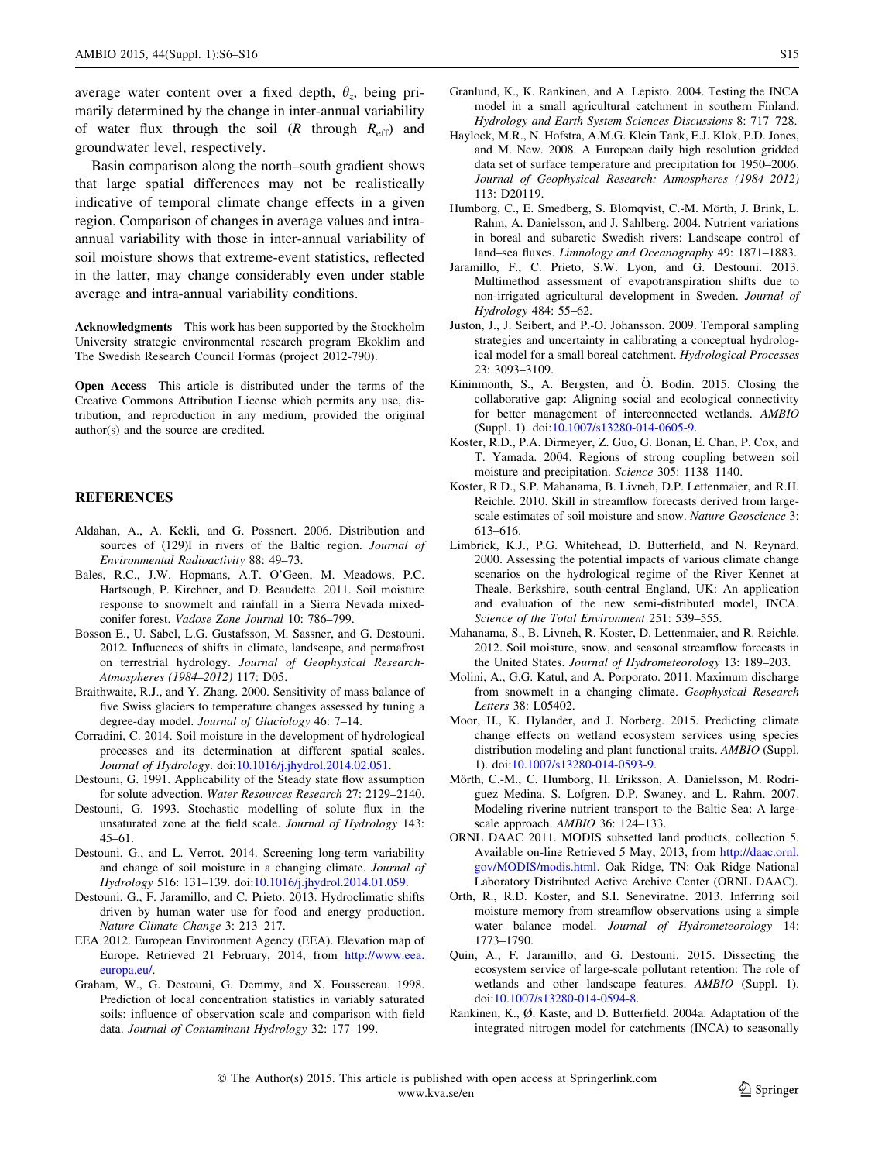<span id="page-9-0"></span>average water content over a fixed depth,  $\theta_z$ , being primarily determined by the change in inter-annual variability of water flux through the soil  $(R \t{throught} R_{eff})$  and groundwater level, respectively.

Basin comparison along the north–south gradient shows that large spatial differences may not be realistically indicative of temporal climate change effects in a given region. Comparison of changes in average values and intraannual variability with those in inter-annual variability of soil moisture shows that extreme-event statistics, reflected in the latter, may change considerably even under stable average and intra-annual variability conditions.

Acknowledgments This work has been supported by the Stockholm University strategic environmental research program Ekoklim and The Swedish Research Council Formas (project 2012-790).

Open Access This article is distributed under the terms of the Creative Commons Attribution License which permits any use, distribution, and reproduction in any medium, provided the original author(s) and the source are credited.

## REFERENCES

- Aldahan, A., A. Kekli, and G. Possnert. 2006. Distribution and sources of (129)l in rivers of the Baltic region. Journal of Environmental Radioactivity 88: 49–73.
- Bales, R.C., J.W. Hopmans, A.T. O'Geen, M. Meadows, P.C. Hartsough, P. Kirchner, and D. Beaudette. 2011. Soil moisture response to snowmelt and rainfall in a Sierra Nevada mixedconifer forest. Vadose Zone Journal 10: 786–799.
- Bosson E., U. Sabel, L.G. Gustafsson, M. Sassner, and G. Destouni. 2012. Influences of shifts in climate, landscape, and permafrost on terrestrial hydrology. Journal of Geophysical Research-Atmospheres (1984–2012) 117: D05.
- Braithwaite, R.J., and Y. Zhang. 2000. Sensitivity of mass balance of five Swiss glaciers to temperature changes assessed by tuning a degree-day model. Journal of Glaciology 46: 7–14.
- Corradini, C. 2014. Soil moisture in the development of hydrological processes and its determination at different spatial scales. Journal of Hydrology. doi[:10.1016/j.jhydrol.2014.02.051.](http://dx.doi.org/10.1016/j.jhydrol.2014.02.051)
- Destouni, G. 1991. Applicability of the Steady state flow assumption for solute advection. Water Resources Research 27: 2129–2140.
- Destouni, G. 1993. Stochastic modelling of solute flux in the unsaturated zone at the field scale. Journal of Hydrology 143: 45–61.
- Destouni, G., and L. Verrot. 2014. Screening long-term variability and change of soil moisture in a changing climate. Journal of Hydrology 516: 131–139. doi:[10.1016/j.jhydrol.2014.01.059](http://dx.doi.org/10.1016/j.jhydrol.2014.01.059).
- Destouni, G., F. Jaramillo, and C. Prieto. 2013. Hydroclimatic shifts driven by human water use for food and energy production. Nature Climate Change 3: 213–217.
- EEA 2012. European Environment Agency (EEA). Elevation map of Europe. Retrieved 21 February, 2014, from [http://www.eea.](http://www.eea.europa.eu/) [europa.eu/.](http://www.eea.europa.eu/)
- Graham, W., G. Destouni, G. Demmy, and X. Foussereau. 1998. Prediction of local concentration statistics in variably saturated soils: influence of observation scale and comparison with field data. Journal of Contaminant Hydrology 32: 177–199.
- Granlund, K., K. Rankinen, and A. Lepisto. 2004. Testing the INCA model in a small agricultural catchment in southern Finland. Hydrology and Earth System Sciences Discussions 8: 717–728.
- Haylock, M.R., N. Hofstra, A.M.G. Klein Tank, E.J. Klok, P.D. Jones, and M. New. 2008. A European daily high resolution gridded data set of surface temperature and precipitation for 1950–2006. Journal of Geophysical Research: Atmospheres (1984–2012) 113: D20119.
- Humborg, C., E. Smedberg, S. Blomqvist, C.-M. Mörth, J. Brink, L. Rahm, A. Danielsson, and J. Sahlberg. 2004. Nutrient variations in boreal and subarctic Swedish rivers: Landscape control of land–sea fluxes. Limnology and Oceanography 49: 1871–1883.
- Jaramillo, F., C. Prieto, S.W. Lyon, and G. Destouni. 2013. Multimethod assessment of evapotranspiration shifts due to non-irrigated agricultural development in Sweden. Journal of Hydrology 484: 55–62.
- Juston, J., J. Seibert, and P.-O. Johansson. 2009. Temporal sampling strategies and uncertainty in calibrating a conceptual hydrological model for a small boreal catchment. Hydrological Processes 23: 3093–3109.
- Kininmonth, S., A. Bergsten, and Ö. Bodin. 2015. Closing the collaborative gap: Aligning social and ecological connectivity for better management of interconnected wetlands. AMBIO (Suppl. 1). doi:[10.1007/s13280-014-0605-9.](http://dx.doi.org/10.1007/s13280-014-0605-9)
- Koster, R.D., P.A. Dirmeyer, Z. Guo, G. Bonan, E. Chan, P. Cox, and T. Yamada. 2004. Regions of strong coupling between soil moisture and precipitation. Science 305: 1138–1140.
- Koster, R.D., S.P. Mahanama, B. Livneh, D.P. Lettenmaier, and R.H. Reichle. 2010. Skill in streamflow forecasts derived from largescale estimates of soil moisture and snow. Nature Geoscience 3: 613–616.
- Limbrick, K.J., P.G. Whitehead, D. Butterfield, and N. Reynard. 2000. Assessing the potential impacts of various climate change scenarios on the hydrological regime of the River Kennet at Theale, Berkshire, south-central England, UK: An application and evaluation of the new semi-distributed model, INCA. Science of the Total Environment 251: 539–555.
- Mahanama, S., B. Livneh, R. Koster, D. Lettenmaier, and R. Reichle. 2012. Soil moisture, snow, and seasonal streamflow forecasts in the United States. Journal of Hydrometeorology 13: 189–203.
- Molini, A., G.G. Katul, and A. Porporato. 2011. Maximum discharge from snowmelt in a changing climate. Geophysical Research Letters 38: L05402.
- Moor, H., K. Hylander, and J. Norberg. 2015. Predicting climate change effects on wetland ecosystem services using species distribution modeling and plant functional traits. AMBIO (Suppl. 1). doi[:10.1007/s13280-014-0593-9](http://dx.doi.org/10.1007/s13280-014-0593-9).
- Mörth, C.-M., C. Humborg, H. Eriksson, A. Danielsson, M. Rodriguez Medina, S. Lofgren, D.P. Swaney, and L. Rahm. 2007. Modeling riverine nutrient transport to the Baltic Sea: A largescale approach. AMBIO 36: 124–133.
- ORNL DAAC 2011. MODIS subsetted land products, collection 5. Available on-line Retrieved 5 May, 2013, from [http://daac.ornl.](http://daac.ornl.gov/MODIS/modis.html) [gov/MODIS/modis.html](http://daac.ornl.gov/MODIS/modis.html). Oak Ridge, TN: Oak Ridge National Laboratory Distributed Active Archive Center (ORNL DAAC).
- Orth, R., R.D. Koster, and S.I. Seneviratne. 2013. Inferring soil moisture memory from streamflow observations using a simple water balance model. Journal of Hydrometeorology 14: 1773–1790.
- Quin, A., F. Jaramillo, and G. Destouni. 2015. Dissecting the ecosystem service of large-scale pollutant retention: The role of wetlands and other landscape features. AMBIO (Suppl. 1). doi[:10.1007/s13280-014-0594-8](http://dx.doi.org/10.1007/s13280-014-0594-8).
- Rankinen, K., Ø. Kaste, and D. Butterfield. 2004a. Adaptation of the integrated nitrogen model for catchments (INCA) to seasonally